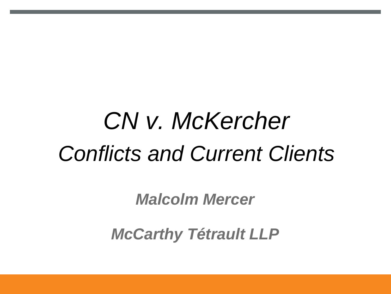# *CN v. McKercher Conflicts and Current Clients*

*Malcolm Mercer*

*McCarthy Tétrault LLP*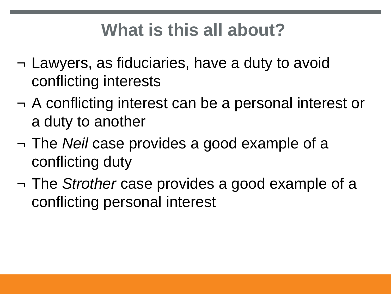- ¬ Lawyers, as fiduciaries, have a duty to avoid conflicting interests
- ¬ A conflicting interest can be a personal interest or a duty to another
- ¬ The *Neil* case provides a good example of a conflicting duty
- ¬ The *Strother* case provides a good example of a conflicting personal interest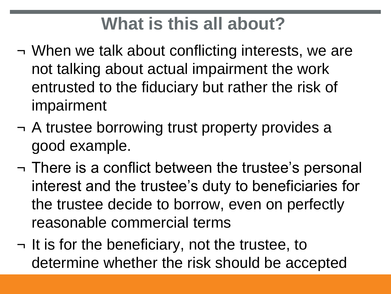- ¬ When we talk about conflicting interests, we are not talking about actual impairment the work entrusted to the fiduciary but rather the risk of impairment
- ¬ A trustee borrowing trust property provides a good example.
- ¬ There is a conflict between the trustee's personal interest and the trustee's duty to beneficiaries for the trustee decide to borrow, even on perfectly reasonable commercial terms
- ¬ It is for the beneficiary, not the trustee, to determine whether the risk should be accepted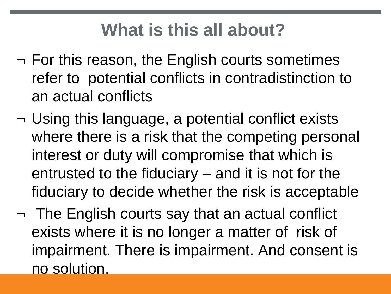- ¬ For this reason, the English courts sometimes refer to potential conflicts in contradistinction to an actual conflicts
- ¬ Using this language, a potential conflict exists where there is a risk that the competing personal interest or duty will compromise that which is entrusted to the fiduciary – and it is not for the fiduciary to decide whether the risk is acceptable
- ¬ The English courts say that an actual conflict exists where it is no longer a matter of risk of impairment. There is impairment. And consent is no solution.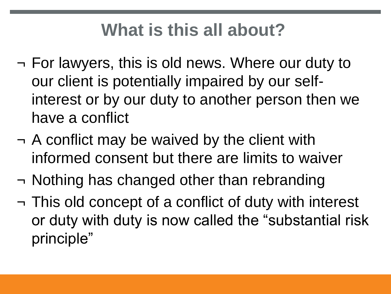- ¬ For lawyers, this is old news. Where our duty to our client is potentially impaired by our selfinterest or by our duty to another person then we have a conflict
- ¬ A conflict may be waived by the client with informed consent but there are limits to waiver
- ¬ Nothing has changed other than rebranding
- ¬ This old concept of a conflict of duty with interest or duty with duty is now called the "substantial risk principle"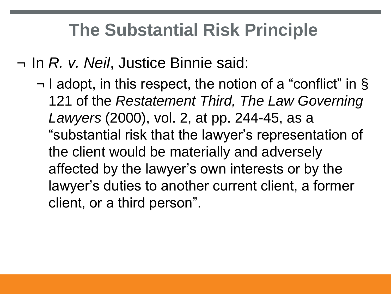## **The Substantial Risk Principle**

¬ In *R. v. Neil*, Justice Binnie said:

¬ I adopt, in this respect, the notion of a "conflict" in § 121 of the *Restatement Third, The Law Governing Lawyers* (2000), vol. 2, at pp. 244-45, as a "substantial risk that the lawyer's representation of the client would be materially and adversely affected by the lawyer's own interests or by the lawyer's duties to another current client, a former client, or a third person".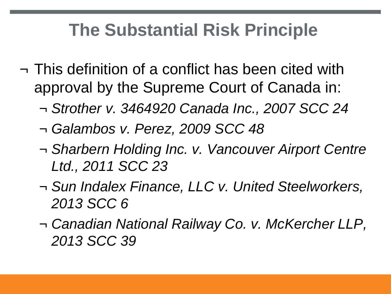## **The Substantial Risk Principle**

- ¬ This definition of a conflict has been cited with approval by the Supreme Court of Canada in:
	- ¬ *Strother v. 3464920 Canada Inc., 2007 SCC 24*
	- ¬ *Galambos v. Perez, 2009 SCC 48*
	- ¬ *Sharbern Holding Inc. v. Vancouver Airport Centre Ltd., 2011 SCC 23*
	- ¬ *Sun Indalex Finance, LLC v. United Steelworkers, 2013 SCC 6*
	- ¬ *Canadian National Railway Co. v. McKercher LLP, 2013 SCC 39*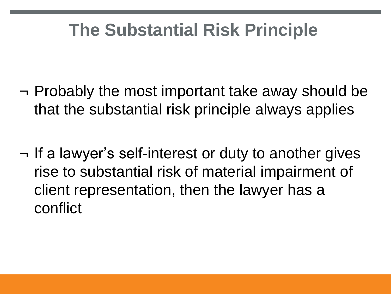## **The Substantial Risk Principle**

- ¬ Probably the most important take away should be that the substantial risk principle always applies
- ¬ If a lawyer's self-interest or duty to another gives rise to substantial risk of material impairment of client representation, then the lawyer has a conflict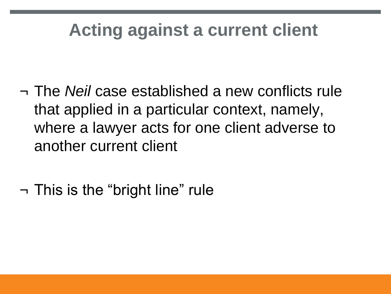- ¬ The *Neil* case established a new conflicts rule that applied in a particular context, namely, where a lawyer acts for one client adverse to another current client
- ¬ This is the "bright line" rule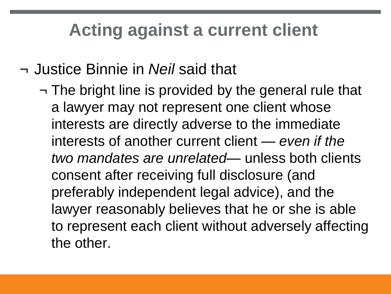#### ¬ Justice Binnie in *Neil* said that

¬ The bright line is provided by the general rule that a lawyer may not represent one client whose interests are directly adverse to the immediate interests of another current client — *even if the two mandates are unrelated*— unless both clients consent after receiving full disclosure (and preferably independent legal advice), and the lawyer reasonably believes that he or she is able to represent each client without adversely affecting the other.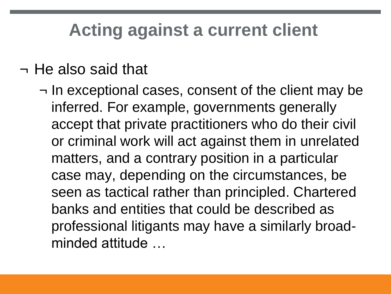#### ¬ He also said that

¬ In exceptional cases, consent of the client may be inferred. For example, governments generally accept that private practitioners who do their civil or criminal work will act against them in unrelated matters, and a contrary position in a particular case may, depending on the circumstances, be seen as tactical rather than principled. Chartered banks and entities that could be described as professional litigants may have a similarly broadminded attitude …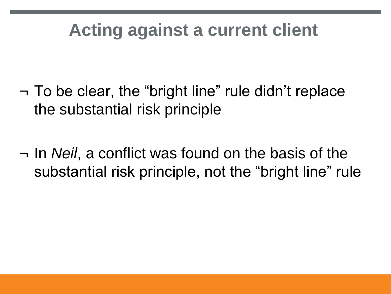- ¬ To be clear, the "bright line" rule didn't replace the substantial risk principle
- ¬ In *Neil*, a conflict was found on the basis of the substantial risk principle, not the "bright line" rule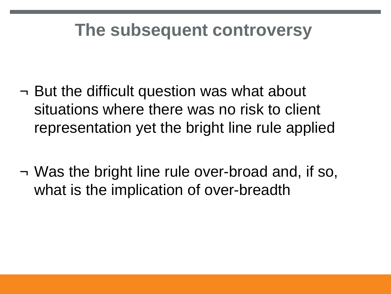- ¬ But the difficult question was what about situations where there was no risk to client representation yet the bright line rule applied
- ¬ Was the bright line rule over-broad and, if so, what is the implication of over-breadth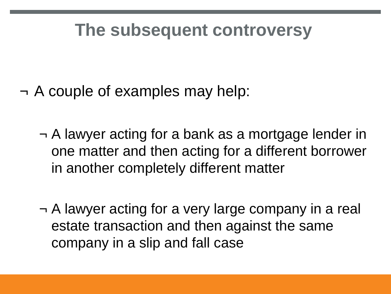- ¬ A couple of examples may help:
	- ¬ A lawyer acting for a bank as a mortgage lender in one matter and then acting for a different borrower in another completely different matter
	- ¬ A lawyer acting for a very large company in a real estate transaction and then against the same company in a slip and fall case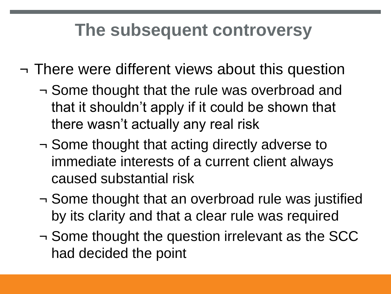- ¬ There were different views about this question
	- ¬ Some thought that the rule was overbroad and that it shouldn't apply if it could be shown that there wasn't actually any real risk
	- ¬ Some thought that acting directly adverse to immediate interests of a current client always caused substantial risk
	- ¬ Some thought that an overbroad rule was justified by its clarity and that a clear rule was required
	- ¬ Some thought the question irrelevant as the SCC had decided the point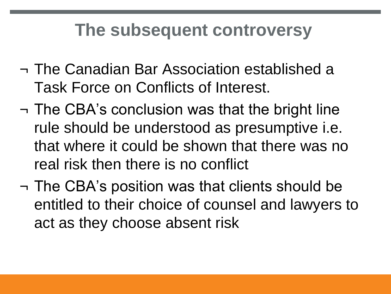- ¬ The Canadian Bar Association established a Task Force on Conflicts of Interest.
- ¬ The CBA's conclusion was that the bright line rule should be understood as presumptive i.e. that where it could be shown that there was no real risk then there is no conflict
- ¬ The CBA's position was that clients should be entitled to their choice of counsel and lawyers to act as they choose absent risk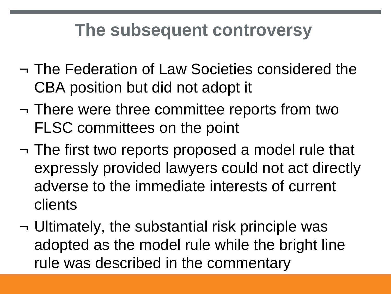- ¬ The Federation of Law Societies considered the CBA position but did not adopt it
- ¬ There were three committee reports from two FLSC committees on the point
- ¬ The first two reports proposed a model rule that expressly provided lawyers could not act directly adverse to the immediate interests of current clients
- ¬ Ultimately, the substantial risk principle was adopted as the model rule while the bright line rule was described in the commentary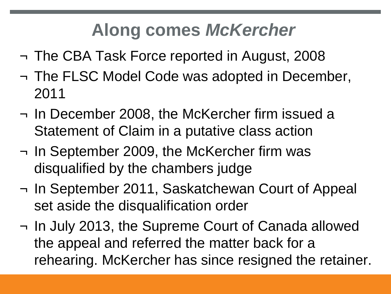## **Along comes** *McKercher*

- ¬ The CBA Task Force reported in August, 2008
- ¬ The FLSC Model Code was adopted in December, 2011
- ¬ In December 2008, the McKercher firm issued a Statement of Claim in a putative class action
- ¬ In September 2009, the McKercher firm was disqualified by the chambers judge
- ¬ In September 2011, Saskatchewan Court of Appeal set aside the disqualification order
- ¬ In July 2013, the Supreme Court of Canada allowed the appeal and referred the matter back for a rehearing. McKercher has since resigned the retainer.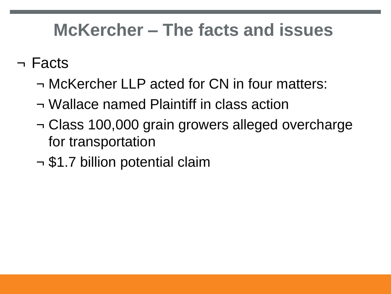## **McKercher – The facts and issues**

#### ¬ Facts

- ¬ McKercher LLP acted for CN in four matters:
- ¬ Wallace named Plaintiff in class action
- ¬ Class 100,000 grain growers alleged overcharge for transportation
- ¬ \$1.7 billion potential claim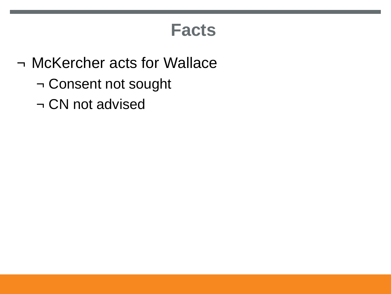#### **Facts**

- ¬ McKercher acts for Wallace
	- ¬ Consent not sought
	- ¬ CN not advised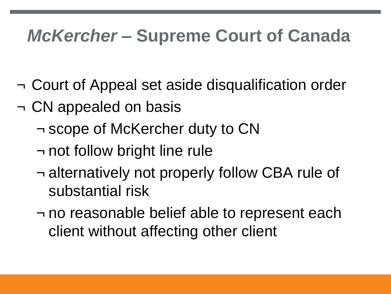- ¬ Court of Appeal set aside disqualification order
- ¬ CN appealed on basis
	- ¬ scope of McKercher duty to CN
	- ¬ not follow bright line rule
	- ¬ alternatively not properly follow CBA rule of substantial risk
	- ¬ no reasonable belief able to represent each client without affecting other client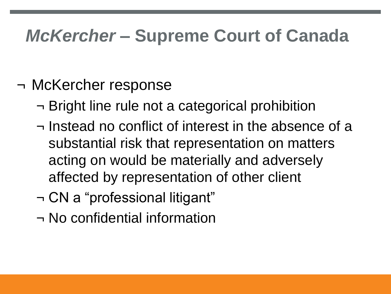#### ¬ McKercher response

- ¬ Bright line rule not a categorical prohibition
- ¬ Instead no conflict of interest in the absence of a substantial risk that representation on matters acting on would be materially and adversely affected by representation of other client
- ¬ CN a "professional litigant"
- ¬ No confidential information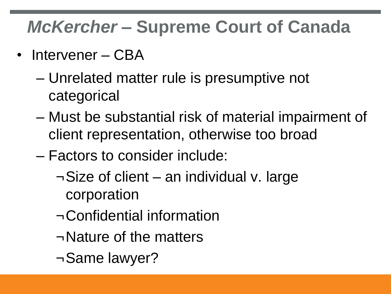- Intervener CBA
	- Unrelated matter rule is presumptive not categorical
	- Must be substantial risk of material impairment of client representation, otherwise too broad
	- Factors to consider include:
		- ¬Size of client an individual v. large corporation
		- ¬Confidential information
		- ¬Nature of the matters
		- ¬Same lawyer?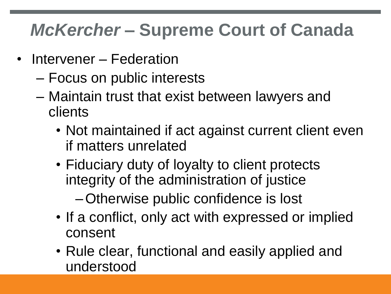- Intervener Federation
	- Focus on public interests
	- Maintain trust that exist between lawyers and clients
		- Not maintained if act against current client even if matters unrelated
		- Fiduciary duty of loyalty to client protects integrity of the administration of justice

–Otherwise public confidence is lost

- If a conflict, only act with expressed or implied consent
- Rule clear, functional and easily applied and understood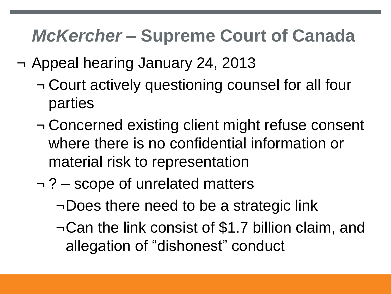- ¬ Appeal hearing January 24, 2013
	- ¬ Court actively questioning counsel for all four parties
	- ¬ Concerned existing client might refuse consent where there is no confidential information or material risk to representation
	- ¬ ? scope of unrelated matters
		- ¬Does there need to be a strategic link
		- ¬Can the link consist of \$1.7 billion claim, and allegation of "dishonest" conduct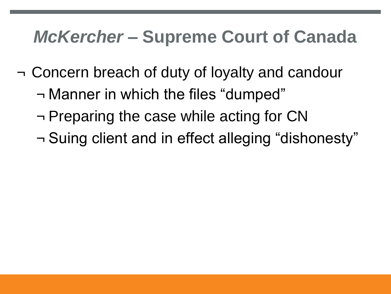- ¬ Concern breach of duty of loyalty and candour
	- ¬ Manner in which the files "dumped"
	- ¬ Preparing the case while acting for CN
	- ¬ Suing client and in effect alleging "dishonesty"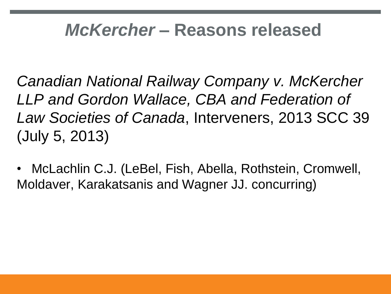#### *McKercher* **– Reasons released**

*Canadian National Railway Company v. McKercher LLP and Gordon Wallace, CBA and Federation of Law Societies of Canada*, Interveners, 2013 SCC 39 (July 5, 2013)

• McLachlin C.J. (LeBel, Fish, Abella, Rothstein, Cromwell, Moldaver, Karakatsanis and Wagner JJ. concurring)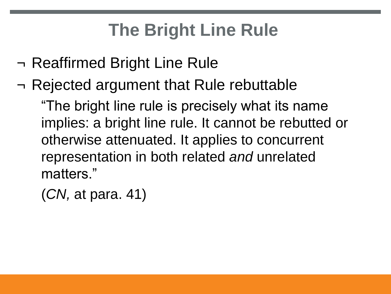# **The Bright Line Rule**

- ¬ Reaffirmed Bright Line Rule
- ¬ Rejected argument that Rule rebuttable "The bright line rule is precisely what its name implies: a bright line rule. It cannot be rebutted or otherwise attenuated. It applies to concurrent

representation in both related *and* unrelated matters."

(*CN,* at para. 41)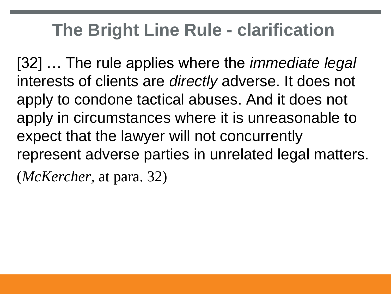#### **The Bright Line Rule - clarification**

[32] … The rule applies where the *immediate legal*  interests of clients are *directly* adverse. It does not apply to condone tactical abuses. And it does not apply in circumstances where it is unreasonable to expect that the lawyer will not concurrently represent adverse parties in unrelated legal matters. (*McKercher*, at para. 32)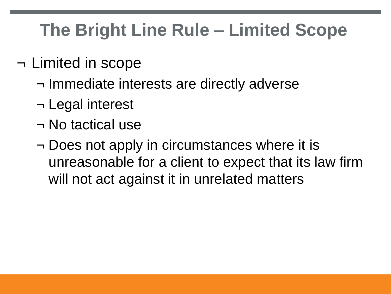# **The Bright Line Rule – Limited Scope**

- ¬ Limited in scope
	- ¬ Immediate interests are directly adverse
	- ¬ Legal interest
	- ¬ No tactical use
	- ¬ Does not apply in circumstances where it is unreasonable for a client to expect that its law firm will not act against it in unrelated matters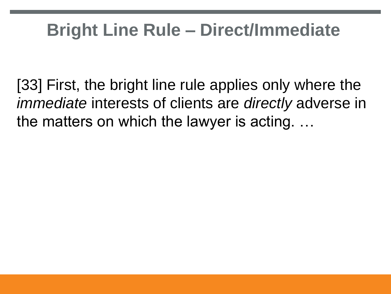## **Bright Line Rule – Direct/Immediate**

[33] First, the bright line rule applies only where the *immediate* interests of clients are *directly* adverse in the matters on which the lawyer is acting. …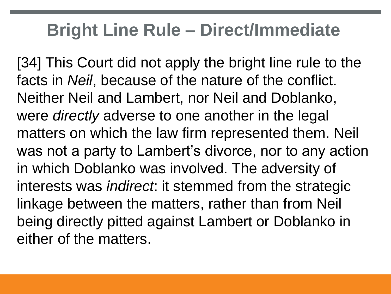#### **Bright Line Rule – Direct/Immediate**

[34] This Court did not apply the bright line rule to the facts in *Neil*, because of the nature of the conflict. Neither Neil and Lambert, nor Neil and Doblanko, were *directly* adverse to one another in the legal matters on which the law firm represented them. Neil was not a party to Lambert's divorce, nor to any action in which Doblanko was involved. The adversity of interests was *indirect*: it stemmed from the strategic linkage between the matters, rather than from Neil being directly pitted against Lambert or Doblanko in either of the matters.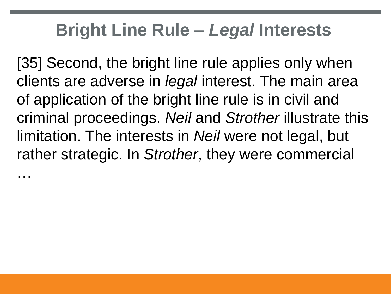#### **Bright Line Rule –** *Legal* **Interests**

[35] Second, the bright line rule applies only when clients are adverse in *legal* interest. The main area of application of the bright line rule is in civil and criminal proceedings. *Neil* and *Strother* illustrate this limitation. The interests in *Neil* were not legal, but rather strategic. In *Strother*, they were commercial

…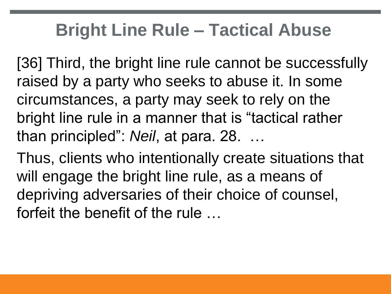## **Bright Line Rule – Tactical Abuse**

[36] Third, the bright line rule cannot be successfully raised by a party who seeks to abuse it. In some circumstances, a party may seek to rely on the bright line rule in a manner that is "tactical rather than principled": *Neil*, at para. 28. …

Thus, clients who intentionally create situations that will engage the bright line rule, as a means of depriving adversaries of their choice of counsel, forfeit the benefit of the rule …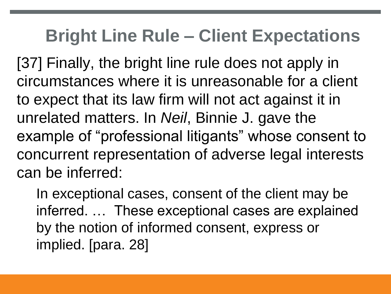#### **Bright Line Rule – Client Expectations**

[37] Finally, the bright line rule does not apply in circumstances where it is unreasonable for a client to expect that its law firm will not act against it in unrelated matters. In *Neil*, Binnie J. gave the example of "professional litigants" whose consent to concurrent representation of adverse legal interests can be inferred:

In exceptional cases, consent of the client may be inferred. … These exceptional cases are explained by the notion of informed consent, express or implied. [para. 28]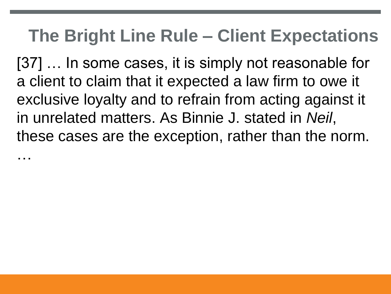#### **The Bright Line Rule – Client Expectations**

[37] … In some cases, it is simply not reasonable for a client to claim that it expected a law firm to owe it exclusive loyalty and to refrain from acting against it in unrelated matters. As Binnie J. stated in *Neil*, these cases are the exception, rather than the norm.

…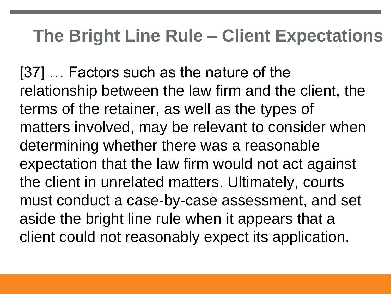#### **The Bright Line Rule – Client Expectations**

[37] … Factors such as the nature of the relationship between the law firm and the client, the terms of the retainer, as well as the types of matters involved, may be relevant to consider when determining whether there was a reasonable expectation that the law firm would not act against the client in unrelated matters. Ultimately, courts must conduct a case-by-case assessment, and set aside the bright line rule when it appears that a client could not reasonably expect its application.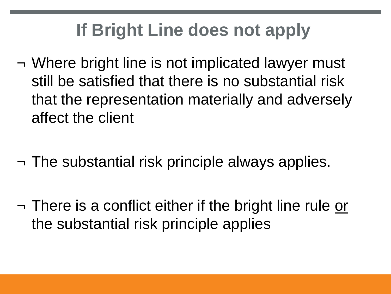# **If Bright Line does not apply**

- ¬ Where bright line is not implicated lawyer must still be satisfied that there is no substantial risk that the representation materially and adversely affect the client
- ¬ The substantial risk principle always applies.
- ¬ There is a conflict either if the bright line rule or the substantial risk principle applies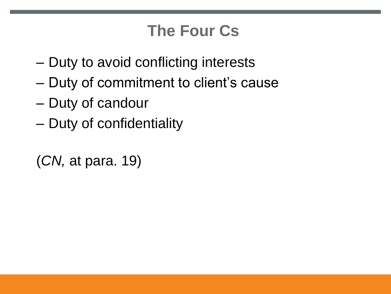#### **The Four Cs**

- Duty to avoid conflicting interests
- Duty of commitment to client's cause
- Duty of candour
- Duty of confidentiality

```
(CN, at para. 19)
```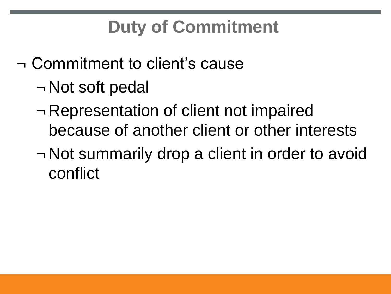# **Duty of Commitment**

¬ Commitment to client's cause

- ¬ Not soft pedal
- ¬ Representation of client not impaired because of another client or other interests
- ¬ Not summarily drop a client in order to avoid conflict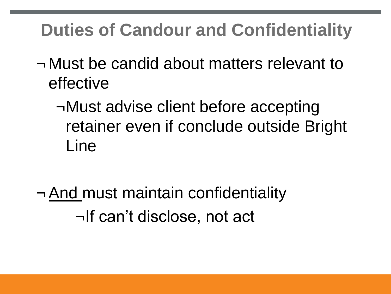## **Duties of Candour and Confidentiality**

- ¬ Must be candid about matters relevant to effective
	- ¬Must advise client before accepting retainer even if conclude outside Bright Line
- ¬ And must maintain confidentiality ¬If can't disclose, not act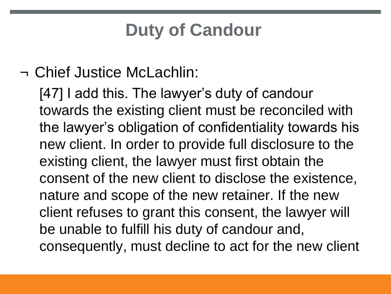## **Duty of Candour**

#### ¬ Chief Justice McLachlin:

[47] I add this. The lawyer's duty of candour towards the existing client must be reconciled with the lawyer's obligation of confidentiality towards his new client. In order to provide full disclosure to the existing client, the lawyer must first obtain the consent of the new client to disclose the existence, nature and scope of the new retainer. If the new client refuses to grant this consent, the lawyer will be unable to fulfill his duty of candour and, consequently, must decline to act for the new client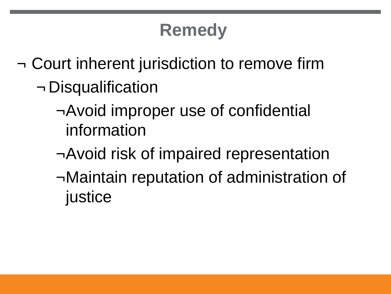# **Remedy**

- ¬ Court inherent jurisdiction to remove firm ¬ Disqualification
	- ¬Avoid improper use of confidential information
	- ¬Avoid risk of impaired representation
	- ¬Maintain reputation of administration of justice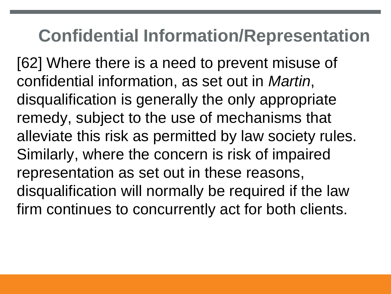#### **Confidential Information/Representation**

[62] Where there is a need to prevent misuse of confidential information, as set out in *Martin*, disqualification is generally the only appropriate remedy, subject to the use of mechanisms that alleviate this risk as permitted by law society rules. Similarly, where the concern is risk of impaired representation as set out in these reasons, disqualification will normally be required if the law firm continues to concurrently act for both clients.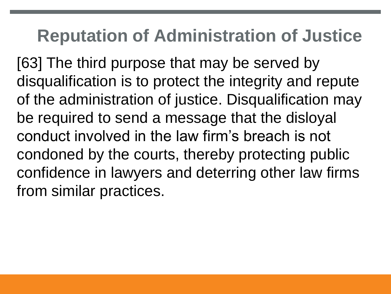#### **Reputation of Administration of Justice**

[63] The third purpose that may be served by disqualification is to protect the integrity and repute of the administration of justice. Disqualification may be required to send a message that the disloyal conduct involved in the law firm's breach is not condoned by the courts, thereby protecting public confidence in lawyers and deterring other law firms from similar practices.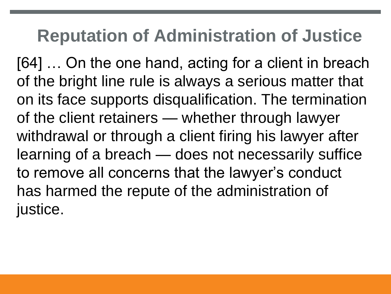## **Reputation of Administration of Justice**

[64] … On the one hand, acting for a client in breach of the bright line rule is always a serious matter that on its face supports disqualification. The termination of the client retainers — whether through lawyer withdrawal or through a client firing his lawyer after learning of a breach — does not necessarily suffice to remove all concerns that the lawyer's conduct has harmed the repute of the administration of justice.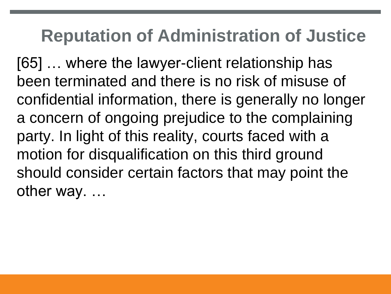#### **Reputation of Administration of Justice**

[65] … where the lawyer-client relationship has been terminated and there is no risk of misuse of confidential information, there is generally no longer a concern of ongoing prejudice to the complaining party. In light of this reality, courts faced with a motion for disqualification on this third ground should consider certain factors that may point the other way. …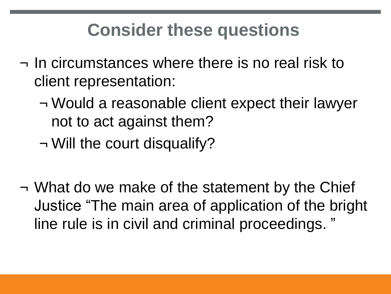## **Consider these questions**

- ¬ In circumstances where there is no real risk to client representation:
	- ¬ Would a reasonable client expect their lawyer not to act against them?
	- ¬ Will the court disqualify?
- ¬ What do we make of the statement by the Chief Justice "The main area of application of the bright line rule is in civil and criminal proceedings. "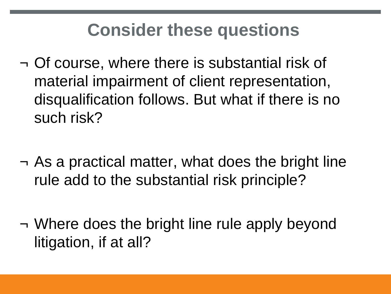## **Consider these questions**

- ¬ Of course, where there is substantial risk of material impairment of client representation, disqualification follows. But what if there is no such risk?
- ¬ As a practical matter, what does the bright line rule add to the substantial risk principle?
- ¬ Where does the bright line rule apply beyond litigation, if at all?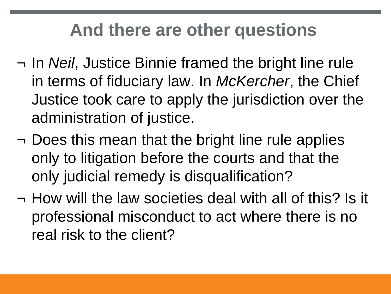#### **And there are other questions**

- ¬ In *Neil*, Justice Binnie framed the bright line rule in terms of fiduciary law. In *McKercher*, the Chief Justice took care to apply the jurisdiction over the administration of justice.
- ¬ Does this mean that the bright line rule applies only to litigation before the courts and that the only judicial remedy is disqualification?
- ¬ How will the law societies deal with all of this? Is it professional misconduct to act where there is no real risk to the client?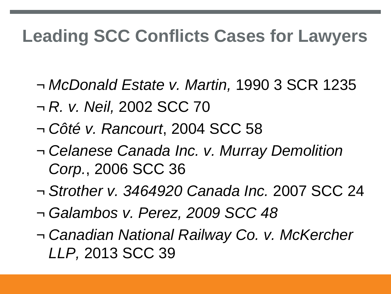## **Leading SCC Conflicts Cases for Lawyers**

- ¬ *McDonald Estate v. Martin,* 1990 3 SCR 1235
- ¬ *R. v. Neil,* 2002 SCC 70
- ¬ *Côté v. Rancourt*, 2004 SCC 58
- ¬ *Celanese Canada Inc. v. Murray Demolition Corp.*, 2006 SCC 36
- ¬ *Strother v. 3464920 Canada Inc.* 2007 SCC 24
- ¬ *Galambos v. Perez, 2009 SCC 48*
- ¬ *Canadian National Railway Co. v. McKercher LLP,* 2013 SCC 39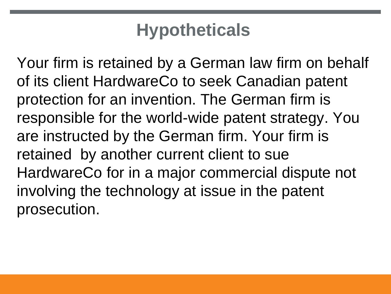Your firm is retained by a German law firm on behalf of its client HardwareCo to seek Canadian patent protection for an invention. The German firm is responsible for the world-wide patent strategy. You are instructed by the German firm. Your firm is retained by another current client to sue HardwareCo for in a major commercial dispute not involving the technology at issue in the patent prosecution.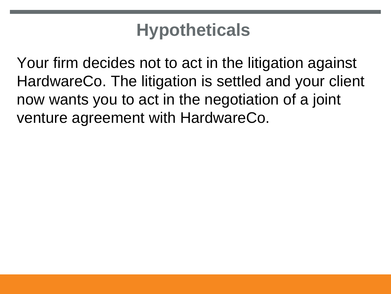Your firm decides not to act in the litigation against HardwareCo. The litigation is settled and your client now wants you to act in the negotiation of a joint venture agreement with HardwareCo.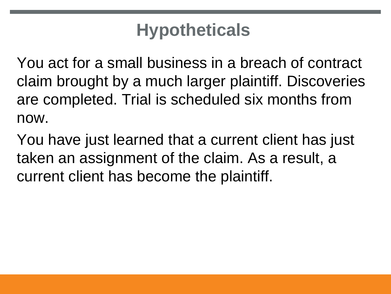You act for a small business in a breach of contract claim brought by a much larger plaintiff. Discoveries are completed. Trial is scheduled six months from now.

You have just learned that a current client has just taken an assignment of the claim. As a result, a current client has become the plaintiff.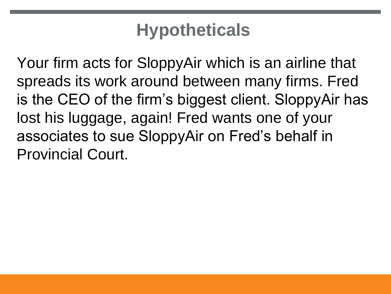Your firm acts for SloppyAir which is an airline that spreads its work around between many firms. Fred is the CEO of the firm's biggest client. SloppyAir has lost his luggage, again! Fred wants one of your associates to sue SloppyAir on Fred's behalf in Provincial Court.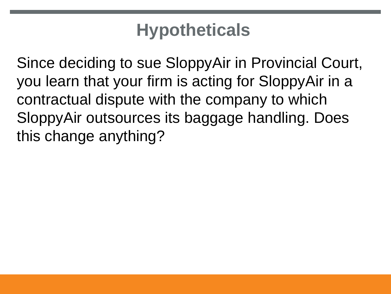Since deciding to sue SloppyAir in Provincial Court, you learn that your firm is acting for SloppyAir in a contractual dispute with the company to which SloppyAir outsources its baggage handling. Does this change anything?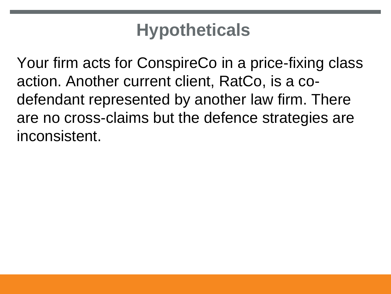Your firm acts for ConspireCo in a price-fixing class action. Another current client, RatCo, is a codefendant represented by another law firm. There are no cross-claims but the defence strategies are inconsistent.